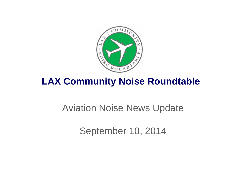

## **LAX Community Noise Roundtable**

## Aviation Noise News Update

September 10, 2014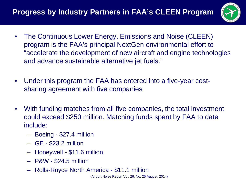

- The Continuous Lower Energy, Emissions and Noise (CLEEN) program is the FAA's principal NextGen environmental effort to "accelerate the development of new aircraft and engine technologies and advance sustainable alternative jet fuels."
- Under this program the FAA has entered into a five-year costsharing agreement with five companies
- With funding matches from all five companies, the total investment could exceed \$250 million. Matching funds spent by FAA to date include:
	- Boeing \$27.4 million
	- GE \$23.2 million
	- Honeywell \$11.6 million
	- P&W \$24.5 million
	- Rolls-Royce North America \$11.1 million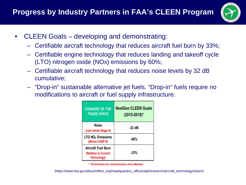

- CLEEN Goals developing and demonstrating:
	- Certifiable aircraft technology that reduces aircraft fuel burn by 33%;
	- Certifiable engine technology that reduces landing and takeoff cycle (LTO) nitrogen oxide (NOx) emissions by 60%;
	- Certifiable aircraft technology that reduces noise levels by 32 dB cumulative;
	- "Drop-in" sustainable alternative jet fuels. "Drop-in" fuels require no modifications to aircraft or fuel supply infrastructure.

| <b>CORNERS OF THE</b><br><b>TRADE SPACE</b>               | <b>NextGen CLEEN Goals</b><br>(2015-2018)* |
|-----------------------------------------------------------|--------------------------------------------|
| Noise<br>(cum below Stage 4)                              | $-32$ dB                                   |
| <b>LTO NO<sub>x</sub></b> Emissions<br>(Below CAEP 6)     | -60%                                       |
| Aircraft Fuel Burn<br>(Relative to Current<br>Technology) | $-33%$                                     |

\* Timeframe for Introduction into Market

(https://www.faa.gov/about/office\_org/headquarters\_offices/apl/research/aircraft\_technology/cleen/)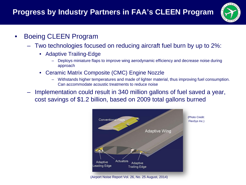

- Boeing CLEEN Program
	- Two technologies focused on reducing aircraft fuel burn by up to 2%:
		- Adaptive Trailing-Edge
			- Deploys miniature flaps to improve wing aerodynamic efficiency and decrease noise during approach
		- Ceramic Matrix Composite (CMC) Engine Nozzle
			- Withstands higher temperatures and made of lighter material, thus improving fuel consumption. Can accommodate acoustic treatments to reduce noise
	- Implementation could result in 340 million gallons of fuel saved a year, cost savings of \$1.2 billion, based on 2009 total gallons burned

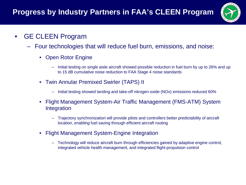

- GE CLEEN Program
	- Four technologies that will reduce fuel burn, emissions, and noise:
		- Open Rotor Engine
			- Initial testing on single aisle aircraft showed possible reduction in fuel burn by up to 26% and up to 15 dB cumulative noise reduction to FAA Stage 4 noise standards
		- Twin Annular Premixed Swirler (TAPS) II
			- Initial testing showed landing and take-off nitrogen oxide (NOx) emissions reduced 60%
		- Flight Management System-Air Traffic Management (FMS-ATM) System Integration
			- Trajectory synchronization will provide pilots and controllers better predictability of aircraft location, enabling fuel saving through efficient aircraft routing
		- Flight Management System-Engine Integration
			- Technology will reduce aircraft burn through efficiencies gained by adaptive engine control, integrated vehicle health management, and integrated flight-propulsion control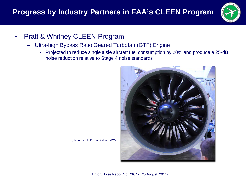

- Pratt & Whitney CLEEN Program
	- Ultra-high Bypass Ratio Geared Turbofan (GTF) Engine
		- Projected to reduce single aisle aircraft fuel consumption by 20% and produce a 25-dB noise reduction relative to Stage 4 noise standards



(Photo Credit: Bin im Garten, P&W)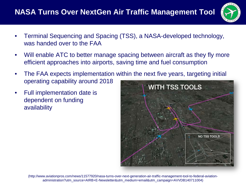## **NASA Turns Over NextGen Air Traffic Management Tool**



- Terminal Sequencing and Spacing (TSS), a NASA-developed technology, was handed over to the FAA
- Will enable ATC to better manage spacing between aircraft as they fly more efficient approaches into airports, saving time and fuel consumption
- The FAA expects implementation within the next five years, targeting initial operating capability around 2018
- Full implementation date is dependent on funding availability



(http://www.aviationpros.com/news/11577920/nasa-turns-over-next-generation-air-traffic-management-tool-to-federal-aviationadministration?utm\_source=AIRB+E-Newsletter&utm\_medium=email&utm\_campaign=AVVDB140711004)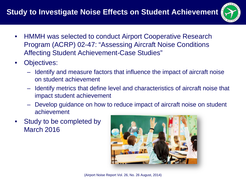

- HMMH was selected to conduct Airport Cooperative Research Program (ACRP) 02-47: "Assessing Aircraft Noise Conditions Affecting Student Achievement-Case Studies"
- Objectives:
	- Identify and measure factors that influence the impact of aircraft noise on student achievement
	- Identify metrics that define level and characteristics of aircraft noise that impact student achievement
	- Develop guidance on how to reduce impact of aircraft noise on student achievement
- Study to be completed by March 2016

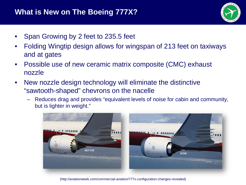

- Span Growing by 2 feet to 235.5 feet
- Folding Wingtip design allows for wingspan of 213 feet on taxiways and at gates
- Possible use of new ceramic matrix composite (CMC) exhaust nozzle
- New nozzle design technology will eliminate the distinctive "sawtooth-shaped" chevrons on the nacelle
	- Reduces drag and provides "equivalent levels of noise for cabin and community, but is lighter in weight."



(http://aviationweek.com/commercial-aviation/777x-configuration-changes-revealed)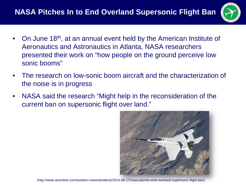## **NASA Pitches In to End Overland Supersonic Flight Ban**



- On June 18th, at an annual event held by the American Institute of Aeronautics and Astronautics in Atlanta, NASA researchers presented their work on "how people on the ground perceive low sonic booms"
- The research on low-sonic boom aircraft and the characterization of the noise is in progress
- NASA said the research "Might help in the reconsideration of the current ban on supersonic flight over land."



(http://www.ainonline.com/aviation-news/ainalerts/2014-06-17/nasa-pitches-end-overland-supersonic-flight-ban)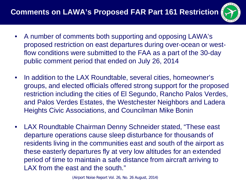

- A number of comments both supporting and opposing LAWA's proposed restriction on east departures during over-ocean or westflow conditions were submitted to the FAA as a part of the 30-day public comment period that ended on July 26, 2014
- In addition to the LAX Roundtable, several cities, homeowner's groups, and elected officials offered strong support for the proposed restriction including the cities of El Segundo, Rancho Palos Verdes, and Palos Verdes Estates, the Westchester Neighbors and Ladera Heights Civic Associations, and Councilman Mike Bonin
- LAX Roundtable Chairman Denny Schneider stated, "These east departure operations cause sleep disturbance for thousands of residents living in the communities east and south of the airport as these easterly departures fly at very low altitudes for an extended period of time to maintain a safe distance from aircraft arriving to LAX from the east and the south."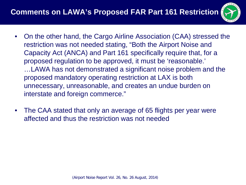

- On the other hand, the Cargo Airline Association (CAA) stressed the restriction was not needed stating, "Both the Airport Noise and Capacity Act (ANCA) and Part 161 specifically require that, for a proposed regulation to be approved, it must be 'reasonable.' …LAWA has not demonstrated a significant noise problem and the proposed mandatory operating restriction at LAX is both unnecessary, unreasonable, and creates an undue burden on interstate and foreign commerce."
- The CAA stated that only an average of 65 flights per year were affected and thus the restriction was not needed